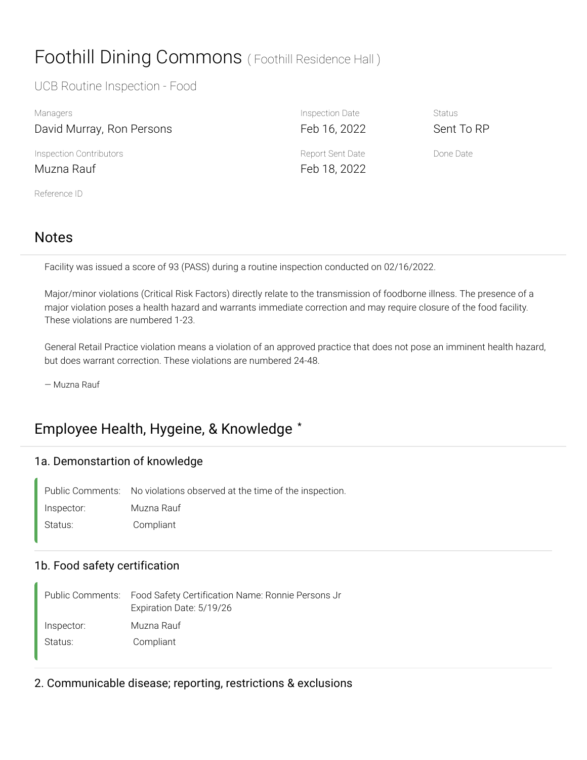# Foothill Dining Commons (Foothill Residence Hall)

#### UCB Routine Inspection - Food

| Managers                  | Inspection Date  | <b>Status</b> |
|---------------------------|------------------|---------------|
| David Murray, Ron Persons | Feb 16, 2022     | Sent To RP    |
| Inspection Contributors   | Report Sent Date | Done Date     |
| Muzna Rauf                | Feb 18, 2022     |               |
| Reference ID              |                  |               |

### Notes

Facility was issued a score of 93 (PASS) during a routine inspection conducted on 02/16/2022.

Major/minor violations (Critical Risk Factors) directly relate to the transmission of foodborne illness. The presence of a major violation poses a health hazard and warrants immediate correction and may require closure of the food facility. These violations are numbered 1-23.

General Retail Practice violation means a violation of an approved practice that does not pose an imminent health hazard, but does warrant correction. These violations are numbered 24-48.

— Muzna Rauf

## Employee Health, Hygeine, & Knowledge **\***

#### 1a. Demonstartion of knowledge

Public Comments: No violations observed at the time of the inspection. Inspector: Muzna Rauf Status: Compliant

#### 1b. Food safety certification

Food Safety Certification Name: Ronnie Persons Jr Expiration Date: 5/19/26 Public Comments: Inspector: Muzna Rauf Status: Compliant

2. Communicable disease; reporting, restrictions & exclusions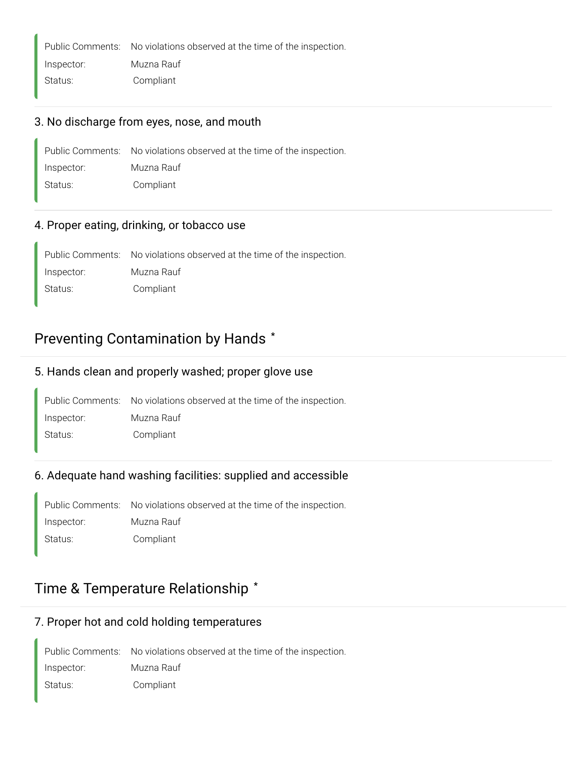Public Comments: No violations observed at the time of the inspection.

Inspector: Muzna Rauf

#### Status: Compliant

#### 3. No discharge from eyes, nose, and mouth

|            | Public Comments: No violations observed at the time of the inspection. |
|------------|------------------------------------------------------------------------|
| Inspector: | Muzna Rauf                                                             |
| Status:    | Compliant                                                              |

#### 4. Proper eating, drinking, or tobacco use

Public Comments: No violations observed at the time of the inspection. Inspector: Muzna Rauf Status: Compliant

### Preventing Contamination by Hands **\***

#### 5. Hands clean and properly washed; proper glove use

Public Comments: No violations observed at the time of the inspection. Inspector: Muzna Rauf Status: Compliant

#### 6. Adequate hand washing facilities: supplied and accessible

Public Comments: No violations observed at the time of the inspection. Inspector: Muzna Rauf Status: Compliant

### Time & Temperature Relationship **\***

#### 7. Proper hot and cold holding temperatures

Public Comments: No violations observed at the time of the inspection. Inspector: Muzna Rauf Status: Compliant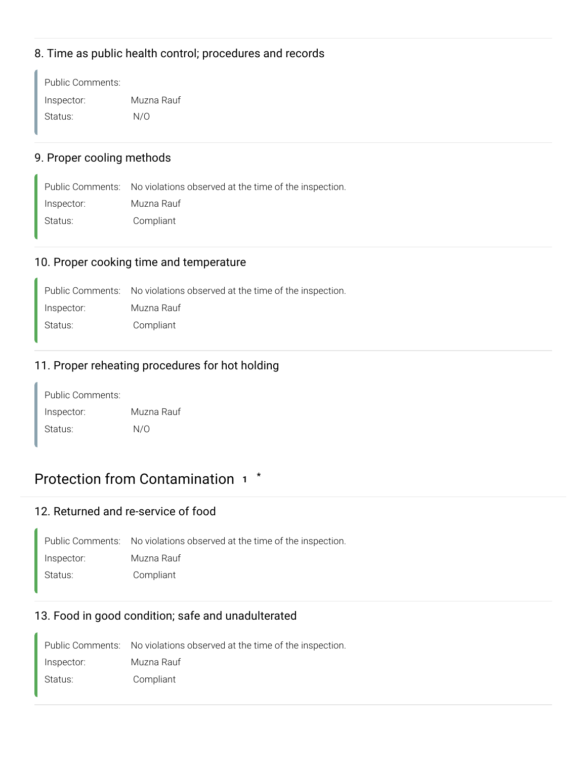#### 8. Time as public health control; procedures and records

Public Comments: Inspector: Muzna Rauf Status: N/O

#### 9. Proper cooling methods

Public Comments: No violations observed at the time of the inspection. Inspector: Muzna Rauf Status: Compliant

#### 10. Proper cooking time and temperature

Public Comments: No violations observed at the time of the inspection. Inspector: Muzna Rauf

Status: Compliant

#### 11. Proper reheating procedures for hot holding

| Public Comments: |            |
|------------------|------------|
| Inspector:       | Muzna Rauf |
| Status:          | N/O        |

### Protection from Contamination **<sup>1</sup> \***

#### 12. Returned and re-service of food

|            | Public Comments: No violations observed at the time of the inspection. |
|------------|------------------------------------------------------------------------|
| Inspector: | Muzna Rauf                                                             |
| Status:    | Compliant                                                              |

#### 13. Food in good condition; safe and unadulterated

Public Comments: No violations observed at the time of the inspection. Inspector: Muzna Rauf Status: Compliant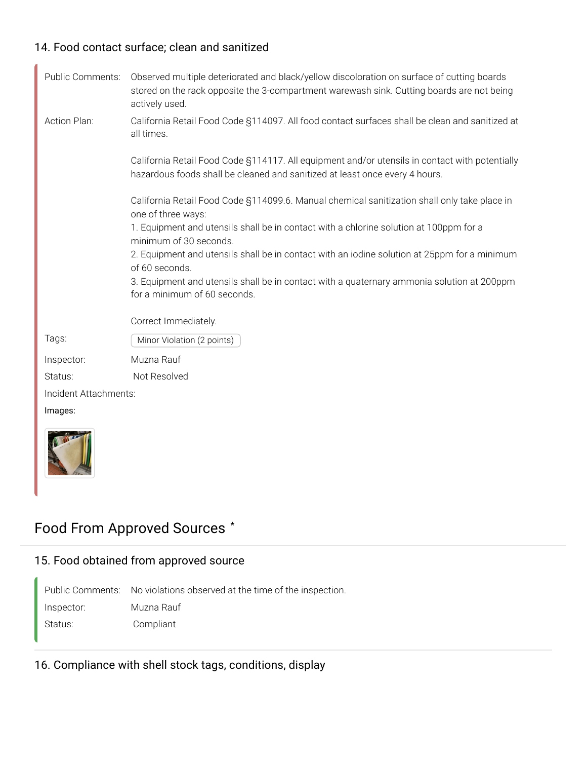#### 14. Food contact surface; clean and sanitized

| Public Comments:      | Observed multiple deteriorated and black/yellow discoloration on surface of cutting boards<br>stored on the rack opposite the 3-compartment warewash sink. Cutting boards are not being<br>actively used. |
|-----------------------|-----------------------------------------------------------------------------------------------------------------------------------------------------------------------------------------------------------|
| Action Plan:          | California Retail Food Code §114097. All food contact surfaces shall be clean and sanitized at<br>all times.                                                                                              |
|                       | California Retail Food Code §114117. All equipment and/or utensils in contact with potentially<br>hazardous foods shall be cleaned and sanitized at least once every 4 hours.                             |
|                       | California Retail Food Code §114099.6. Manual chemical sanitization shall only take place in<br>one of three ways:                                                                                        |
|                       | 1. Equipment and utensils shall be in contact with a chlorine solution at 100ppm for a                                                                                                                    |
|                       | minimum of 30 seconds.<br>2. Equipment and utensils shall be in contact with an iodine solution at 25ppm for a minimum<br>of 60 seconds.                                                                  |
|                       | 3. Equipment and utensils shall be in contact with a quaternary ammonia solution at 200ppm<br>for a minimum of 60 seconds.                                                                                |
|                       | Correct Immediately.                                                                                                                                                                                      |
| Tags:                 | Minor Violation (2 points)                                                                                                                                                                                |
| Inspector:            | Muzna Rauf                                                                                                                                                                                                |
| Status:               | Not Resolved                                                                                                                                                                                              |
| Incident Attachments: |                                                                                                                                                                                                           |
| Images:               |                                                                                                                                                                                                           |
|                       |                                                                                                                                                                                                           |



### Food From Approved Sources **\***

#### 15. Food obtained from approved source

Public Comments: No violations observed at the time of the inspection. Inspector: Muzna Rauf Status: Compliant

16. Compliance with shell stock tags, conditions, display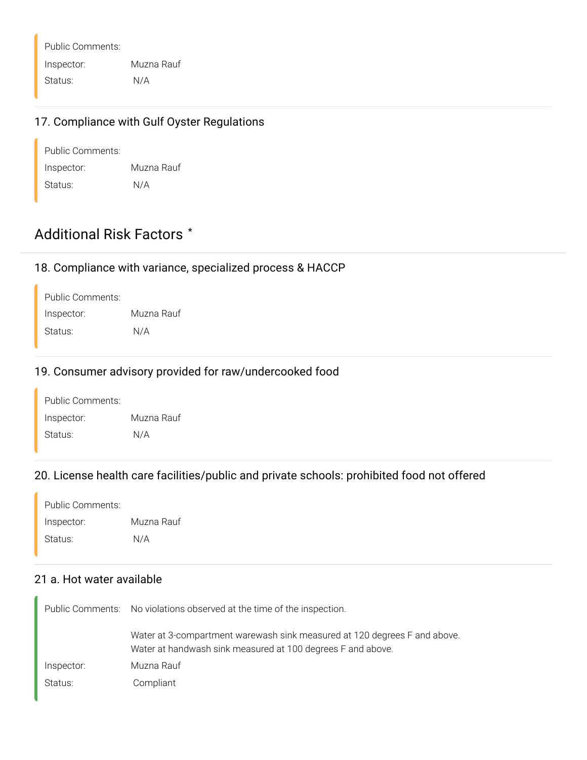Public Comments: Inspector: Muzna Rauf Status: N/A

#### 17. Compliance with Gulf Oyster Regulations

| Public Comments: |            |
|------------------|------------|
| Inspector:       | Muzna Rauf |
| Status:          | N/A        |

### Additional Risk Factors **\***

#### 18. Compliance with variance, specialized process & HACCP

| Public Comments: |            |
|------------------|------------|
| Inspector:       | Muzna Rauf |
| Status:          | N/A        |

#### 19. Consumer advisory provided for raw/undercooked food

| Public Comments: |            |
|------------------|------------|
| Inspector:       | Muzna Rauf |
| Status:          | N/A        |

#### 20. License health care facilities/public and private schools: prohibited food not offered

| Public Comments: |            |
|------------------|------------|
| Inspector:       | Muzna Rauf |
| Status:          | N/A        |

#### 21 a. Hot water available

|            | Public Comments: No violations observed at the time of the inspection.                                                                   |
|------------|------------------------------------------------------------------------------------------------------------------------------------------|
|            | Water at 3-compartment warewash sink measured at 120 degrees F and above.<br>Water at handwash sink measured at 100 degrees F and above. |
| Inspector: | Muzna Rauf                                                                                                                               |
| Status:    | Compliant                                                                                                                                |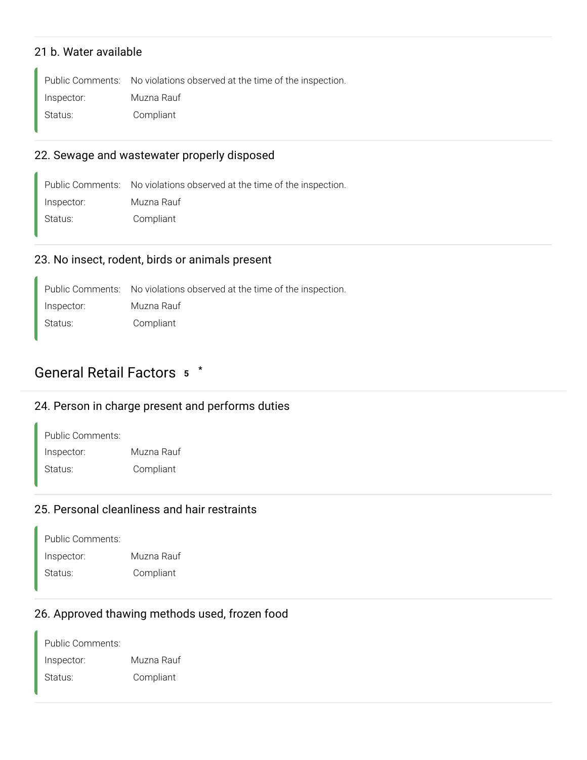#### 21 b. Water available

Public Comments: No violations observed at the time of the inspection. Inspector: Muzna Rauf Status: Compliant

#### 22. Sewage and wastewater properly disposed

Public Comments: No violations observed at the time of the inspection. Inspector: Muzna Rauf Status: Compliant

#### 23. No insect, rodent, birds or animals present

Public Comments: No violations observed at the time of the inspection. Inspector: Muzna Rauf Status: Compliant

#### General Retail Factors **<sup>5</sup> \***

#### 24. Person in charge present and performs duties

| Public Comments: |            |
|------------------|------------|
| Inspector:       | Muzna Rauf |
| Status:          | Compliant  |

#### 25. Personal cleanliness and hair restraints

| Public Comments: |            |
|------------------|------------|
| Inspector:       | Muzna Rauf |
| Status:          | Compliant  |

#### 26. Approved thawing methods used, frozen food

Public Comments: Inspector: Muzna Rauf Status: Compliant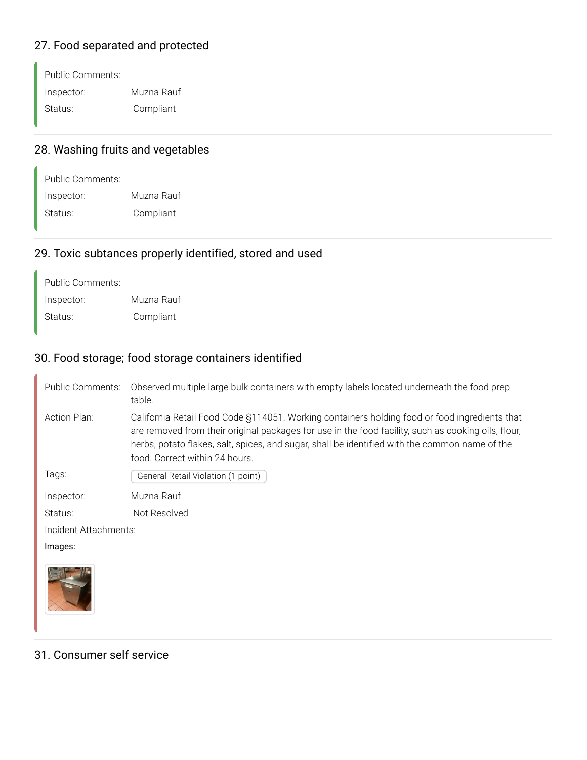### 27. Food separated and protected

Public Comments: Inspector: Muzna Rauf Status: Compliant

### 28. Washing fruits and vegetables

| Public Comments: |            |
|------------------|------------|
| Inspector:       | Muzna Rauf |
| Status:          | Compliant  |

#### 29. Toxic subtances properly identified, stored and used

| Public Comments: |            |
|------------------|------------|
| Inspector:       | Muzna Rauf |
| Status:          | Compliant  |

#### 30. Food storage; food storage containers identified

| Public Comments:      | Observed multiple large bulk containers with empty labels located underneath the food prep<br>table.                                                                                                                                                                                                                                     |  |
|-----------------------|------------------------------------------------------------------------------------------------------------------------------------------------------------------------------------------------------------------------------------------------------------------------------------------------------------------------------------------|--|
| Action Plan:          | California Retail Food Code §114051. Working containers holding food or food ingredients that<br>are removed from their original packages for use in the food facility, such as cooking oils, flour,<br>herbs, potato flakes, salt, spices, and sugar, shall be identified with the common name of the<br>food. Correct within 24 hours. |  |
| Tags:                 | General Retail Violation (1 point)                                                                                                                                                                                                                                                                                                       |  |
| Inspector:            | Muzna Rauf                                                                                                                                                                                                                                                                                                                               |  |
| Status:               | Not Resolved                                                                                                                                                                                                                                                                                                                             |  |
| Incident Attachments: |                                                                                                                                                                                                                                                                                                                                          |  |
| Images:               |                                                                                                                                                                                                                                                                                                                                          |  |
|                       |                                                                                                                                                                                                                                                                                                                                          |  |

#### 31. Consumer self service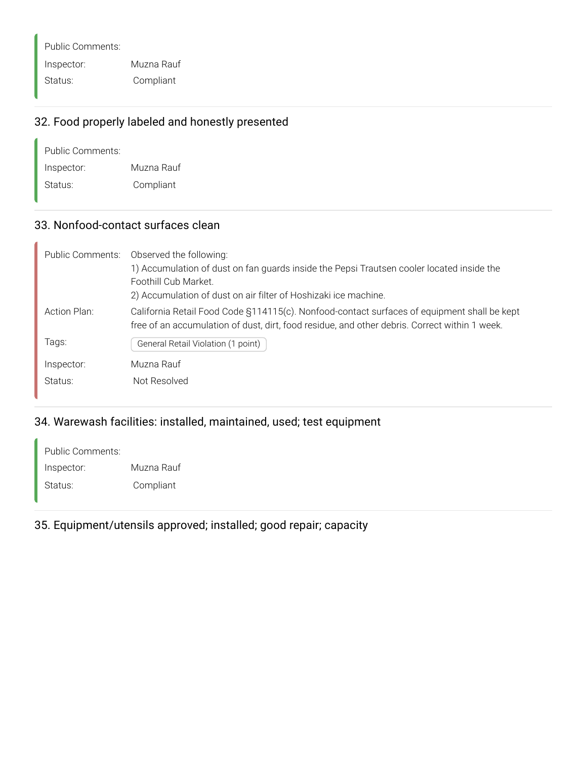Public Comments: Inspector: Muzna Rauf Status: Compliant

#### 32. Food properly labeled and honestly presented

| Public Comments: |            |
|------------------|------------|
| Inspector:       | Muzna Rauf |
| Status:          | Compliant  |

#### 33. Nonfood-contact surfaces clean

| Public Comments: | Observed the following:                                                                       |
|------------------|-----------------------------------------------------------------------------------------------|
|                  | 1) Accumulation of dust on fan guards inside the Pepsi Trautsen cooler located inside the     |
|                  | Foothill Cub Market.                                                                          |
|                  | 2) Accumulation of dust on air filter of Hoshizaki ice machine.                               |
| Action Plan:     | California Retail Food Code §114115(c). Nonfood-contact surfaces of equipment shall be kept   |
|                  | free of an accumulation of dust, dirt, food residue, and other debris. Correct within 1 week. |
| Tags:            | General Retail Violation (1 point)                                                            |
| Inspector:       | Muzna Rauf                                                                                    |
|                  |                                                                                               |
| Status:          | Not Resolved                                                                                  |

#### 34. Warewash facilities: installed, maintained, used; test equipment

Public Comments: Inspector: Muzna Rauf Status: Compliant

35. Equipment/utensils approved; installed; good repair; capacity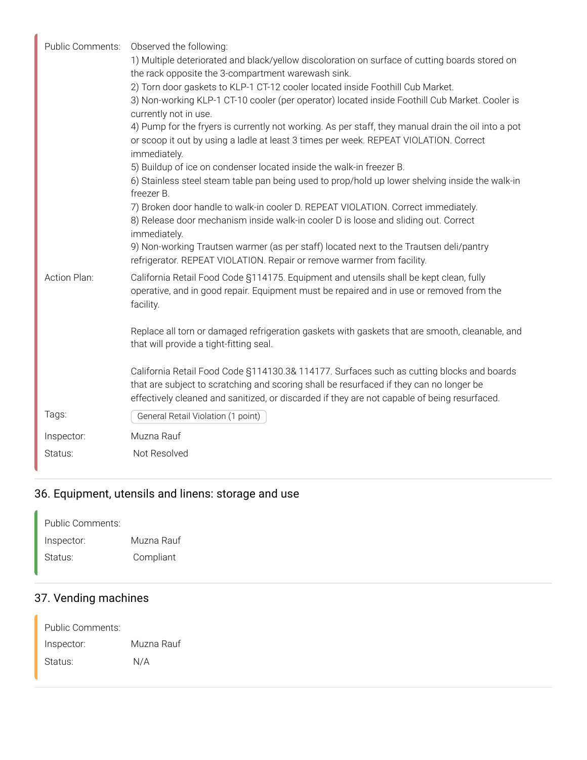| Public Comments: | Observed the following:                                                                                                                                                                                      |
|------------------|--------------------------------------------------------------------------------------------------------------------------------------------------------------------------------------------------------------|
|                  | 1) Multiple deteriorated and black/yellow discoloration on surface of cutting boards stored on                                                                                                               |
|                  | the rack opposite the 3-compartment warewash sink.                                                                                                                                                           |
|                  | 2) Torn door gaskets to KLP-1 CT-12 cooler located inside Foothill Cub Market.                                                                                                                               |
|                  | 3) Non-working KLP-1 CT-10 cooler (per operator) located inside Foothill Cub Market. Cooler is                                                                                                               |
|                  | currently not in use.                                                                                                                                                                                        |
|                  | 4) Pump for the fryers is currently not working. As per staff, they manual drain the oil into a pot<br>or scoop it out by using a ladle at least 3 times per week. REPEAT VIOLATION. Correct<br>immediately. |
|                  | 5) Buildup of ice on condenser located inside the walk-in freezer B.                                                                                                                                         |
|                  | 6) Stainless steel steam table pan being used to prop/hold up lower shelving inside the walk-in                                                                                                              |
|                  | freezer B.                                                                                                                                                                                                   |
|                  | 7) Broken door handle to walk-in cooler D. REPEAT VIOLATION. Correct immediately.                                                                                                                            |
|                  | 8) Release door mechanism inside walk-in cooler D is loose and sliding out. Correct                                                                                                                          |
|                  | immediately.                                                                                                                                                                                                 |
|                  | 9) Non-working Trautsen warmer (as per staff) located next to the Trautsen deli/pantry                                                                                                                       |
|                  | refrigerator. REPEAT VIOLATION. Repair or remove warmer from facility.                                                                                                                                       |
| Action Plan:     | California Retail Food Code §114175. Equipment and utensils shall be kept clean, fully<br>operative, and in good repair. Equipment must be repaired and in use or removed from the<br>facility.              |
|                  |                                                                                                                                                                                                              |
|                  | Replace all torn or damaged refrigeration gaskets with gaskets that are smooth, cleanable, and<br>that will provide a tight-fitting seal.                                                                    |
|                  | California Retail Food Code §114130.3& 114177. Surfaces such as cutting blocks and boards                                                                                                                    |
|                  | that are subject to scratching and scoring shall be resurfaced if they can no longer be                                                                                                                      |
|                  | effectively cleaned and sanitized, or discarded if they are not capable of being resurfaced.                                                                                                                 |
|                  |                                                                                                                                                                                                              |
| Tags:            | General Retail Violation (1 point)                                                                                                                                                                           |
| Inspector:       | Muzna Rauf                                                                                                                                                                                                   |
| Status:          | Not Resolved                                                                                                                                                                                                 |
|                  |                                                                                                                                                                                                              |

## 36. Equipment, utensils and linens: storage and use

| Public Comments: |            |
|------------------|------------|
| Inspector:       | Muzna Rauf |
| Status:          | Compliant  |

## 37. Vending machines

| Public Comments: |            |
|------------------|------------|
| Inspector:       | Muzna Rauf |
| Status:          | N/A        |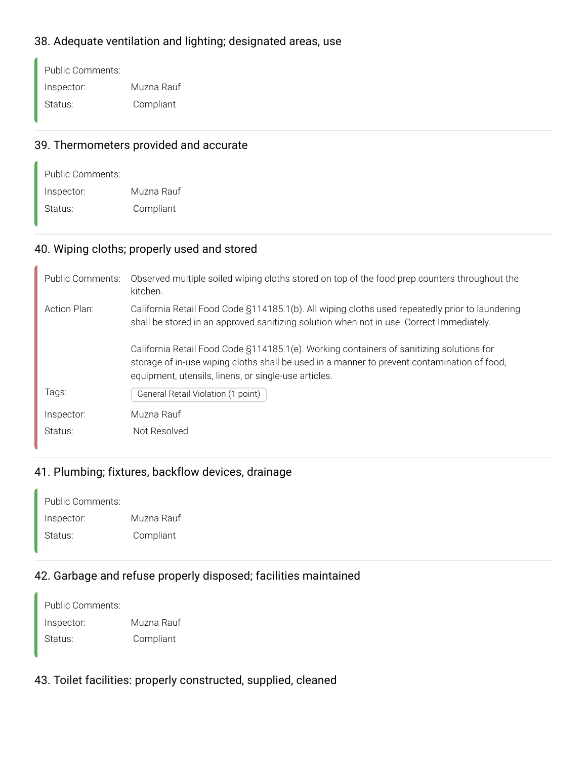#### 38. Adequate ventilation and lighting; designated areas, use

Public Comments: Inspector: Muzna Rauf Status: Compliant

#### 39. Thermometers provided and accurate

| Public Comments: |            |
|------------------|------------|
| Inspector:       | Muzna Rauf |
| Status:          | Compliant  |

#### 40. Wiping cloths; properly used and stored

| <b>Public Comments:</b> | Observed multiple soiled wiping cloths stored on top of the food prep counters throughout the<br>kitchen.                                                                                                                                       |
|-------------------------|-------------------------------------------------------------------------------------------------------------------------------------------------------------------------------------------------------------------------------------------------|
| Action Plan:            | California Retail Food Code §114185.1(b). All wiping cloths used repeatedly prior to laundering<br>shall be stored in an approved sanitizing solution when not in use. Correct Immediately.                                                     |
|                         | California Retail Food Code §114185.1(e). Working containers of sanitizing solutions for<br>storage of in-use wiping cloths shall be used in a manner to prevent contamination of food,<br>equipment, utensils, linens, or single-use articles. |
| Tags:                   | General Retail Violation (1 point)                                                                                                                                                                                                              |
| Inspector:              | Muzna Rauf                                                                                                                                                                                                                                      |
| Status:                 | Not Resolved                                                                                                                                                                                                                                    |

### 41. Plumbing; fixtures, backflow devices, drainage

| Public Comments: |            |
|------------------|------------|
| Inspector:       | Muzna Rauf |
| Status:          | Compliant  |

#### 42. Garbage and refuse properly disposed; facilities maintained

| Public Comments: |            |
|------------------|------------|
| Inspector:       | Muzna Rauf |
| Status:          | Compliant  |

#### 43. Toilet facilities: properly constructed, supplied, cleaned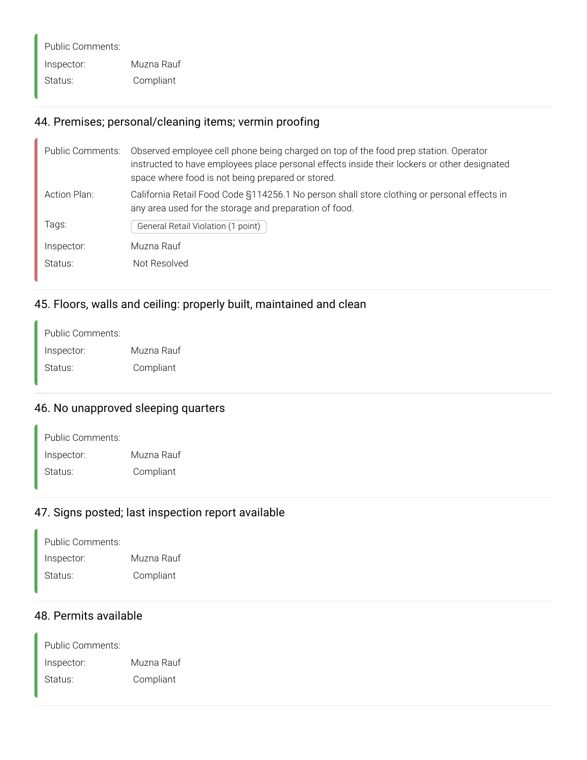Public Comments: Inspector: Muzna Rauf Status: Compliant

#### 44. Premises; personal/cleaning items; vermin proofing

| Public Comments: | Observed employee cell phone being charged on top of the food prep station. Operator<br>instructed to have employees place personal effects inside their lockers or other designated<br>space where food is not being prepared or stored. |
|------------------|-------------------------------------------------------------------------------------------------------------------------------------------------------------------------------------------------------------------------------------------|
| Action Plan:     | California Retail Food Code §114256.1 No person shall store clothing or personal effects in<br>any area used for the storage and preparation of food.                                                                                     |
| Tags:            | General Retail Violation (1 point)                                                                                                                                                                                                        |
| Inspector:       | Muzna Rauf                                                                                                                                                                                                                                |
| Status:          | Not Resolved                                                                                                                                                                                                                              |

### 45. Floors, walls and ceiling: properly built, maintained and clean

| Muzna Rauf |
|------------|
| Compliant  |
|            |

#### 46. No unapproved sleeping quarters

| Public Comments: |            |
|------------------|------------|
| Inspector:       | Muzna Rauf |
| Status:          | Compliant  |

#### 47. Signs posted; last inspection report available

| Public Comments: |            |
|------------------|------------|
| Inspector:       | Muzna Rauf |
| Status:          | Compliant  |

#### 48. Permits available

Public Comments: Inspector: Muzna Rauf Status: Compliant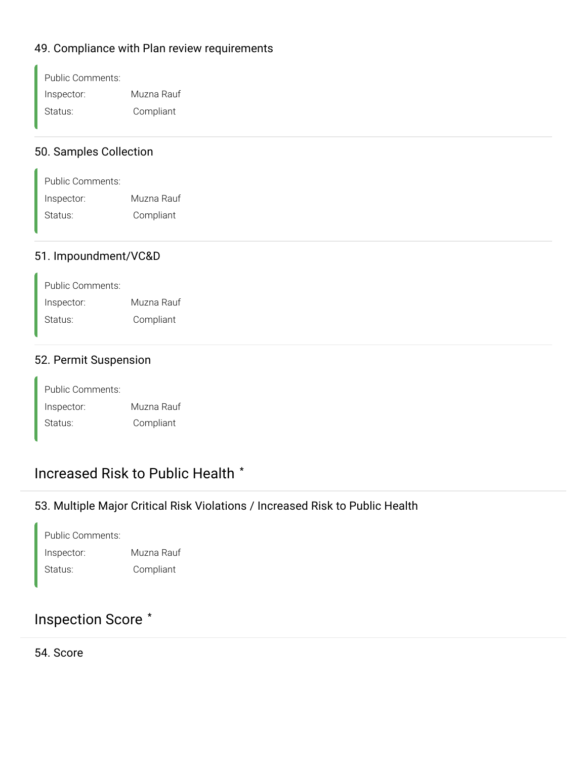#### 49. Compliance with Plan review requirements

| Public Comments: |            |
|------------------|------------|
| Inspector:       | Muzna Rauf |
| Status:          | Compliant  |

#### 50. Samples Collection

| Public Comments: |            |
|------------------|------------|
| Inspector:       | Muzna Rauf |
| Status:          | Compliant  |

#### 51. Impoundment/VC&D

| Public Comments: |            |
|------------------|------------|
| Inspector:       | Muzna Rauf |
| Status:          | Compliant  |

#### 52. Permit Suspension

| Public Comments: |            |
|------------------|------------|
| Inspector:       | Muzna Rauf |
| Status:          | Compliant  |

### Increased Risk to Public Health **\***

#### 53. Multiple Major Critical Risk Violations / Increased Risk to Public Health

Public Comments: Inspector: Muzna Rauf Status: Compliant

### Inspection Score **\***

54. Score